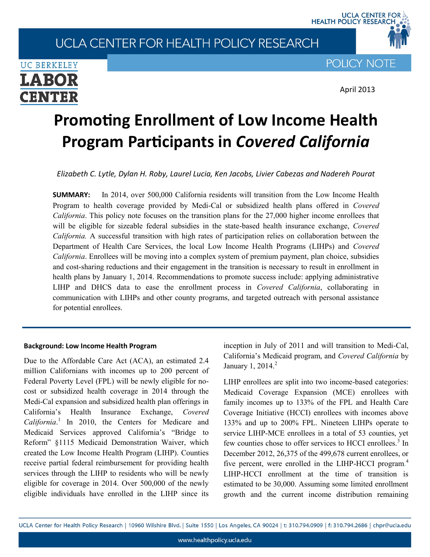# UCLA CENTER FOR HEALTH POLICY RESEARCH



**POLICY NOTE** 

UCLA CENTER FOR<br>\_HEALTH POLICY RESEARCH

April 2013

# **Promoting Enrollment of Low Income Health Program Participants in** *Covered California*

*Elizabeth C. Lytle, Dylan H. Roby, Laurel Lucia, Ken Jacobs, Livier Cabezas and Nadereh Pourat*

**SUMMARY:** In 2014, over 500,000 California residents will transition from the Low Income Health Program to health coverage provided by Medi-Cal or subsidized health plans offered in *Covered California*. This policy note focuses on the transition plans for the 27,000 higher income enrollees that will be eligible for sizeable federal subsidies in the state-based health insurance exchange, *Covered California.* A successful transition with high rates of participation relies on collaboration between the Department of Health Care Services, the local Low Income Health Programs (LIHPs) and *Covered California*. Enrollees will be moving into a complex system of premium payment, plan choice, subsidies and cost-sharing reductions and their engagement in the transition is necessary to result in enrollment in health plans by January 1, 2014. Recommendations to promote success include: applying administrative LIHP and DHCS data to ease the enrollment process in *Covered California*, collaborating in communication with LIHPs and other county programs, and targeted outreach with personal assistance for potential enrollees.

#### **Background: Low Income Health Program**

Due to the Affordable Care Act (ACA), an estimated 2.4 million Californians with incomes up to 200 percent of Federal Poverty Level (FPL) will be newly eligible for nocost or subsidized health coverage in 2014 through the Medi-Cal expansion and subsidized health plan offerings in California's Health Insurance Exchange, *Covered California*. 1 In 2010, the Centers for Medicare and Medicaid Services approved California's "Bridge to Reform" §1115 Medicaid Demonstration Waiver, which created the Low Income Health Program (LIHP). Counties receive partial federal reimbursement for providing health services through the LIHP to residents who will be newly eligible for coverage in 2014. Over 500,000 of the newly eligible individuals have enrolled in the LIHP since its

inception in July of 2011 and will transition to Medi-Cal, California's Medicaid program, and *Covered California* by January 1,  $2014.<sup>2</sup>$ 

LIHP enrollees are split into two income-based categories: Medicaid Coverage Expansion (MCE) enrollees with family incomes up to 133% of the FPL and Health Care Coverage Initiative (HCCI) enrollees with incomes above 133% and up to 200% FPL. Nineteen LIHPs operate to service LIHP-MCE enrollees in a total of 53 counties, yet few counties chose to offer services to HCCI enrollees.<sup>3</sup> In December 2012, 26,375 of the 499,678 current enrollees, or five percent, were enrolled in the LIHP-HCCI program.<sup>4</sup> LIHP-HCCI enrollment at the time of transition is estimated to be 30,000. Assuming some limited enrollment growth and the current income distribution remaining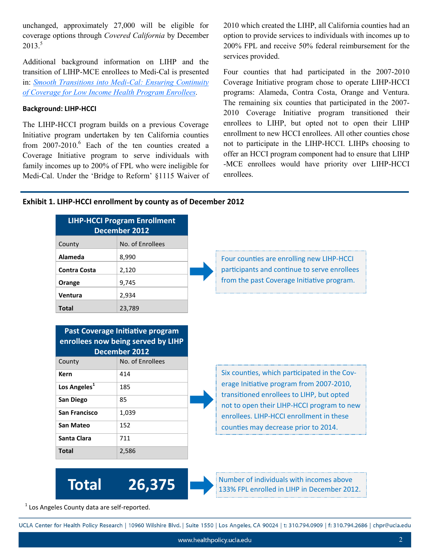unchanged, approximately 27,000 will be eligible for coverage options through *Covered California* by December  $2013<sup>5</sup>$ 

Additional background information on LIHP and the transition of LIHP-MCE enrollees to Medi-Cal is presented in: *[Smooth Transitions into Medi](http://healthpolicy.ucla.edu/publications/search/pages/detail.aspx?PubID=1191)-Cal: Ensuring Continuity [of Coverage for Low Income Health Program Enrollees.](http://healthpolicy.ucla.edu/publications/search/pages/detail.aspx?PubID=1191)* 

#### **Background: LIHP-HCCI**

The LIHP-HCCI program builds on a previous Coverage Initiative program undertaken by ten California counties from  $2007-2010$ .<sup>6</sup> Each of the ten counties created a Coverage Initiative program to serve individuals with family incomes up to 200% of FPL who were ineligible for Medi-Cal. Under the 'Bridge to Reform' §1115 Waiver of 2010 which created the LIHP, all California counties had an option to provide services to individuals with incomes up to 200% FPL and receive 50% federal reimbursement for the services provided.

Four counties that had participated in the 2007-2010 Coverage Initiative program chose to operate LIHP-HCCI programs: Alameda, Contra Costa, Orange and Ventura. The remaining six counties that participated in the 2007- 2010 Coverage Initiative program transitioned their enrollees to LIHP, but opted not to open their LIHP enrollment to new HCCI enrollees. All other counties chose not to participate in the LIHP-HCCI. LIHPs choosing to offer an HCCI program component had to ensure that LIHP -MCE enrollees would have priority over LIHP-HCCI enrollees.

#### **Exhibit 1. LIHP-HCCI enrollment by county as of December 2012**

|                          | <b>LIHP-HCCI Program Enrollment</b><br>December 2012                           |
|--------------------------|--------------------------------------------------------------------------------|
| County                   | No. of Enrollees                                                               |
| Alameda                  | 8,990                                                                          |
| <b>Contra Costa</b>      | 2,120                                                                          |
| Orange                   | 9,745                                                                          |
| Ventura                  | 2,934                                                                          |
| <b>Total</b>             | 23,789                                                                         |
| County                   | enrollees now being served by LIHP<br><b>December 2012</b><br>No. of Enrollees |
| Kern                     |                                                                                |
|                          | 414                                                                            |
| Los Angeles <sup>1</sup> | 185                                                                            |
| San Diego                | 85                                                                             |
| San Francisco            | 1,039                                                                          |
| <b>San Mateo</b>         | 152                                                                            |
| Santa Clara              | 711                                                                            |

**Total 26,375**



Number of individuals with incomes above 133% FPL enrolled in LIHP in December 2012.

 $<sup>1</sup>$  Los Angeles County data are self-reported.</sup>

UCLA Center for Health Policy Research | 10960 Wilshire Blvd. | Suite 1550 | Los Angeles, CA 90024 | t: 310.794.0909 | f: 310.794.2686 | chpr@ucla.edu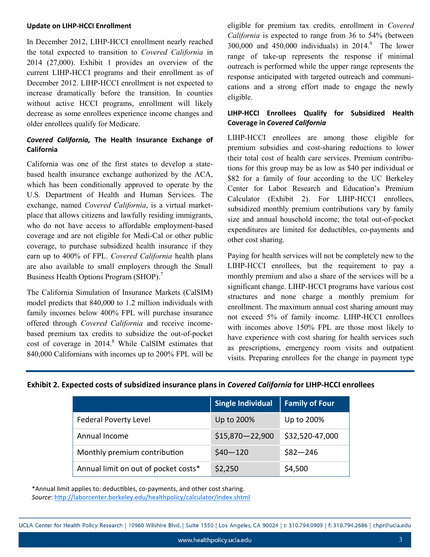#### **Update on LIHP-HCCI Enrollment**

In December 2012, LIHP-HCCI enrollment nearly reached the total expected to transition to *Covered California* in 2014 (27,000). Exhibit 1 provides an overview of the current LIHP-HCCI programs and their enrollment as of December 2012. LIHP-HCCI enrollment is not expected to increase dramatically before the transition. In counties without active HCCI programs, enrollment will likely decrease as some enrollees experience income changes and older enrollees qualify for Medicare.

#### *Covered California,* **The Health Insurance Exchange of California**

California was one of the first states to develop a statebased health insurance exchange authorized by the ACA, which has been conditionally approved to operate by the U.S. Department of Health and Human Services. The exchange, named *Covered California*, is a virtual marketplace that allows citizens and lawfully residing immigrants, who do not have access to affordable employment-based coverage and are not eligible for Medi-Cal or other public coverage, to purchase subsidized health insurance if they earn up to 400% of FPL. *Covered California* health plans are also available to small employers through the Small Business Health Options Program (SHOP).<sup>7</sup>

The California Simulation of Insurance Markets (CalSIM) model predicts that 840,000 to 1.2 million individuals with family incomes below 400% FPL will purchase insurance offered through *Covered California* and receive incomebased premium tax credits to subsidize the out-of-pocket cost of coverage in 2014.<sup>8</sup> While CalSIM estimates that 840,000 Californians with incomes up to 200% FPL will be

eligible for premium tax credits*,* enrollment in *Covered California* is expected to range from 36 to 54% (between 300,000 and 450,000 individuals) in  $2014$ .<sup>9</sup> The lower range of take-up represents the response if minimal outreach is performed while the upper range represents the response anticipated with targeted outreach and communications and a strong effort made to engage the newly eligible.

#### **LIHP-HCCI Enrollees Qualify for Subsidized Health Coverage in** *Covered California*

LIHP-HCCI enrollees are among those eligible for premium subsidies and cost-sharing reductions to lower their total cost of health care services. Premium contributions for this group may be as low as \$40 per individual or \$82 for a family of four according to the UC Berkeley Center for Labor Research and Education's Premium Calculator (Exhibit 2). For LIHP-HCCI enrollees, subsidized monthly premium contributions vary by family size and annual household income; the total out-of-pocket expenditures are limited for deductibles, co-payments and other cost sharing.

Paying for health services will not be completely new to the LIHP-HCCI enrollees, but the requirement to pay a monthly premium and also a share of the services will be a significant change. LIHP-HCCI programs have various cost structures and none charge a monthly premium for enrollment. The maximum annual cost sharing amount may not exceed 5% of family income. LIHP-HCCI enrollees with incomes above 150% FPL are those most likely to have experience with cost sharing for health services such as prescriptions, emergency room visits and outpatient visits. Preparing enrollees for the change in payment type

| Exhibit 2. Expected costs of subsidized insurance plans in Covered California for LIHP-HCCI enrollees |  |  |
|-------------------------------------------------------------------------------------------------------|--|--|
|-------------------------------------------------------------------------------------------------------|--|--|

|                                      | <b>Single Individual</b> | <b>Family of Four</b> |
|--------------------------------------|--------------------------|-----------------------|
| <b>Federal Poverty Level</b>         | Up to 200%               | Up to 200%            |
| Annual Income                        | $$15,870 - 22,900$       | \$32,520-47,000       |
| Monthly premium contribution         | $$40 - 120$              | $$82 - 246$           |
| Annual limit on out of pocket costs* | \$2,250                  | \$4,500               |

\*Annual limit applies to: deductibles, co-payments, and other cost sharing. *Source*: <http://laborcenter.berkeley.edu/healthpolicy/calculator/index.shtml>

UCLA Center for Health Policy Research | 10960 Wilshire Blvd. | Suite 1550 | Los Angeles, CA 90024 | t: 310.794.0909 | f: 310.794.2686 | chpr@ucla.edu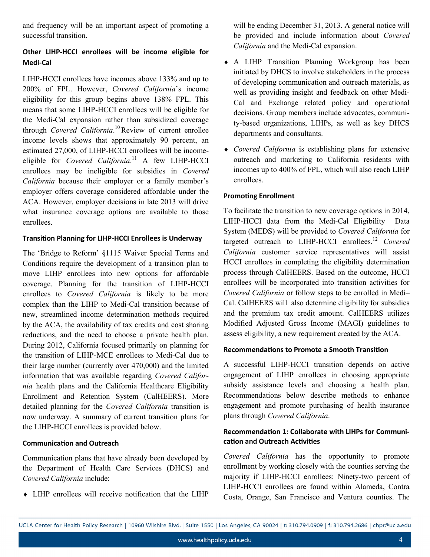and frequency will be an important aspect of promoting a successful transition.

## **Other LIHP-HCCI enrollees will be income eligible for Medi-Cal**

LIHP-HCCI enrollees have incomes above 133% and up to 200% of FPL. However, *Covered California*'s income eligibility for this group begins above 138% FPL. This means that some LIHP-HCCI enrollees will be eligible for the Medi-Cal expansion rather than subsidized coverage through *Covered California*.<sup>10</sup>Review of current enrollee income levels shows that approximately 90 percent, an estimated 27,000, of LIHP-HCCI enrollees will be incomeeligible for *Covered California*. <sup>11</sup> A few LIHP-HCCI enrollees may be ineligible for subsidies in *Covered California* because their employer or a family member's employer offers coverage considered affordable under the ACA. However, employer decisions in late 2013 will drive what insurance coverage options are available to those enrollees.

#### **Transition Planning for LIHP-HCCI Enrollees is Underway**

The 'Bridge to Reform' §1115 Waiver Special Terms and Conditions require the development of a transition plan to move LIHP enrollees into new options for affordable coverage. Planning for the transition of LIHP-HCCI enrollees to *Covered California* is likely to be more complex than the LIHP to Medi-Cal transition because of new, streamlined income determination methods required by the ACA, the availability of tax credits and cost sharing reductions, and the need to choose a private health plan. During 2012, California focused primarily on planning for the transition of LIHP-MCE enrollees to Medi-Cal due to their large number (currently over 470,000) and the limited information that was available regarding *Covered California* health plans and the California Healthcare Eligibility Enrollment and Retention System (CalHEERS). More detailed planning for the *Covered California* transition is now underway. A summary of current transition plans for the LIHP-HCCI enrollees is provided below.

#### **Communication and Outreach**

Communication plans that have already been developed by the Department of Health Care Services (DHCS) and *Covered California* include:

LIHP enrollees will receive notification that the LIHP

will be ending December 31, 2013. A general notice will be provided and include information about *Covered California* and the Medi-Cal expansion.

- A LIHP Transition Planning Workgroup has been initiated by DHCS to involve stakeholders in the process of developing communication and outreach materials, as well as providing insight and feedback on other Medi-Cal and Exchange related policy and operational decisions. Group members include advocates, community-based organizations, LIHPs, as well as key DHCS departments and consultants.
- *Covered California* is establishing plans for extensive outreach and marketing to California residents with incomes up to 400% of FPL, which will also reach LIHP enrollees.

#### **Promoting Enrollment**

To facilitate the transition to new coverage options in 2014, LIHP-HCCI data from the Medi-Cal Eligibility Data System (MEDS) will be provided to *Covered California* for targeted outreach to LIHP-HCCI enrollees.<sup>12</sup> *Covered California* customer service representatives will assist HCCI enrollees in completing the eligibility determination process through CalHEERS. Based on the outcome, HCCI enrollees will be incorporated into transition activities for *Covered California* or follow steps to be enrolled in Medi– Cal. CalHEERS will also determine eligibility for subsidies and the premium tax credit amount. CalHEERS utilizes Modified Adjusted Gross Income (MAGI) guidelines to assess eligibility, a new requirement created by the ACA.

#### **Recommendations to Promote a Smooth Transition**

A successful LIHP-HCCI transition depends on active engagement of LIHP enrollees in choosing appropriate subsidy assistance levels and choosing a health plan. Recommendations below describe methods to enhance engagement and promote purchasing of health insurance plans through *Covered California*.

#### **Recommendation 1: Collaborate with LIHPs for Communication and Outreach Activities**

*Covered California* has the opportunity to promote enrollment by working closely with the counties serving the majority if LIHP-HCCI enrollees: Ninety-two percent of LIHP-HCCI enrollees are found within Alameda, Contra Costa, Orange, San Francisco and Ventura counties. The

UCLA Center for Health Policy Research | 10960 Wilshire Blvd. | Suite 1550 | Los Angeles, CA 90024 | t: 310.794.0909 | f: 310.794.2686 | chpr@ucla.edu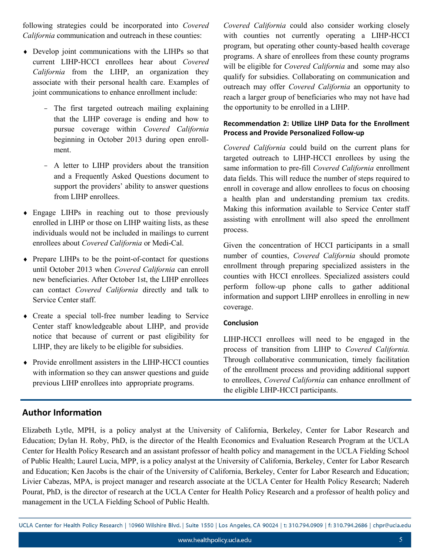following strategies could be incorporated into *Covered California* communication and outreach in these counties:

- Develop joint communications with the LIHPs so that current LIHP-HCCI enrollees hear about *Covered California* from the LIHP, an organization they associate with their personal health care. Examples of joint communications to enhance enrollment include:
	- The first targeted outreach mailing explaining that the LIHP coverage is ending and how to pursue coverage within *Covered California* beginning in October 2013 during open enrollment.
	- A letter to LIHP providers about the transition and a Frequently Asked Questions document to support the providers' ability to answer questions from LIHP enrollees.
- Engage LIHPs in reaching out to those previously enrolled in LIHP or those on LIHP waiting lists, as these individuals would not be included in mailings to current enrollees about *Covered California* or Medi-Cal.
- Prepare LIHPs to be the point-of-contact for questions until October 2013 when *Covered California* can enroll new beneficiaries. After October 1st, the LIHP enrollees can contact *Covered California* directly and talk to Service Center staff.
- Create a special toll-free number leading to Service Center staff knowledgeable about LIHP, and provide notice that because of current or past eligibility for LIHP, they are likely to be eligible for subsidies.
- Provide enrollment assisters in the LIHP-HCCI counties with information so they can answer questions and guide previous LIHP enrollees into appropriate programs.

*Covered California* could also consider working closely with counties not currently operating a LIHP-HCCI program, but operating other county-based health coverage programs. A share of enrollees from these county programs will be eligible for *Covered California* and some may also qualify for subsidies. Collaborating on communication and outreach may offer *Covered California* an opportunity to reach a larger group of beneficiaries who may not have had the opportunity to be enrolled in a LIHP.

#### **Recommendation 2: Utilize LIHP Data for the Enrollment Process and Provide Personalized Follow-up**

*Covered California* could build on the current plans for targeted outreach to LIHP-HCCI enrollees by using the same information to pre-fill *Covered California* enrollment data fields. This will reduce the number of steps required to enroll in coverage and allow enrollees to focus on choosing a health plan and understanding premium tax credits. Making this information available to Service Center staff assisting with enrollment will also speed the enrollment process.

Given the concentration of HCCI participants in a small number of counties, *Covered California* should promote enrollment through preparing specialized assisters in the counties with HCCI enrollees. Specialized assisters could perform follow-up phone calls to gather additional information and support LIHP enrollees in enrolling in new coverage.

#### **Conclusion**

LIHP-HCCI enrollees will need to be engaged in the process of transition from LIHP to *Covered California.* Through collaborative communication, timely facilitation of the enrollment process and providing additional support to enrollees, *Covered California* can enhance enrollment of the eligible LIHP-HCCI participants.

## **Author Information**

Elizabeth Lytle, MPH, is a policy analyst at the University of California, Berkeley, Center for Labor Research and Education; Dylan H. Roby, PhD, is the director of the Health Economics and Evaluation Research Program at the UCLA Center for Health Policy Research and an assistant professor of health policy and management in the UCLA Fielding School of Public Health; Laurel Lucia, MPP, is a policy analyst at the University of California, Berkeley, Center for Labor Research and Education; Ken Jacobs is the chair of the University of California, Berkeley, Center for Labor Research and Education; Livier Cabezas, MPA, is project manager and research associate at the UCLA Center for Health Policy Research; Nadereh Pourat, PhD, is the director of research at the UCLA Center for Health Policy Research and a professor of health policy and management in the UCLA Fielding School of Public Health.

UCLA Center for Health Policy Research | 10960 Wilshire Blvd. | Suite 1550 | Los Angeles, CA 90024 | t: 310.794.0909 | f: 310.794.2686 | chpr@ucla.edu